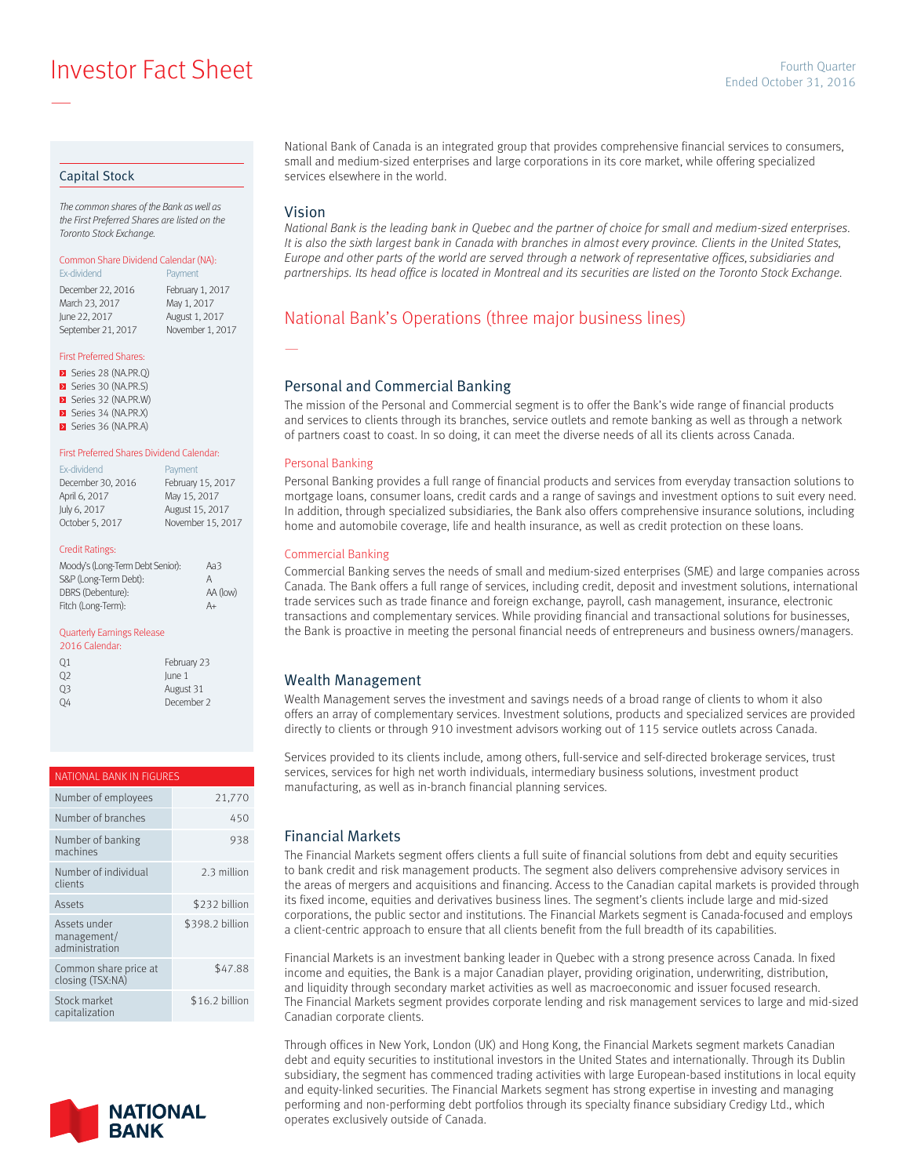**Investor Fact Sheet Ended October 31, 2016** Fourth Quarter

#### Capital Stock

—

The common shares of the Bank as well as the First Preferred Shares are listed on the Toronto Stock Exchange.

## Common Share Dividend Calendar (NA):

| <b>Fx-dividend</b> | Payment          |
|--------------------|------------------|
| December 22, 2016  | February 1, 2017 |
| March 23, 2017     | May 1, 2017      |
| June 22, 2017      | August 1, 2017   |
| September 21, 2017 | November 1, 2017 |
|                    |                  |

#### First Preferred Shares:

Series 28 (NA.PR.Q) Series 30 (NA.PR.S) Series 32 (NA.PR.W) Series 34 (NA.PR.X)

Series 36 (NA.PR.A)

#### First Preferred Shares Dividend Calendar:

| <b>Ex-dividend</b> | Payment           |
|--------------------|-------------------|
| December 30, 2016  | February 15, 2017 |
| April 6, 2017      | May 15, 2017      |
| July 6, 2017       | August 15, 2017   |
| October 5, 2017    | November 15, 2017 |

#### Credit Ratings:

| Moody's (Long-Term Debt Senior): | Aa3      |
|----------------------------------|----------|
| S&P (Long-Term Debt):            | А        |
| DBRS (Debenture):                | AA (low) |
| Fitch (Long-Term):               | A+       |

#### Quarterly Earnings Release

| 2016 Calendar: |  |
|----------------|--|
|                |  |

| February 23 |
|-------------|
| lune 1      |
| August 31   |
| December 2  |
|             |

### NATIONAL BANK IN FIGURES

| Number of employees                           | 21,770          |
|-----------------------------------------------|-----------------|
| Number of branches                            | 450             |
| Number of banking<br>machines                 | 938             |
| Number of individual<br>clients               | 2.3 million     |
| Assets                                        | \$232 billion   |
| Assets under<br>management/<br>administration | \$398.2 billion |
| Common share price at<br>closing (TSX:NA)     | \$47.88         |
| Stock market<br>capitalization                | \$16.2 billion  |



National Bank of Canada is an integrated group that provides comprehensive financial services to consumers, small and medium-sized enterprises and large corporations in its core market, while offering specialized services elsewhere in the world.

#### Vision

—

National Bank is the leading bank in Quebec and the partner of choice for small and medium-sized enterprises. It is also the sixth largest bank in Canada with branches in almost every province. Clients in the United States, Europe and other parts of the world are served through a network of representative offices, subsidiaries and partnerships. Its head office is located in Montreal and its securities are listed on the Toronto Stock Exchange.

## National Bank's Operations (three major business lines)

### Personal and Commercial Banking

The mission of the Personal and Commercial segment is to offer the Bank's wide range of financial products and services to clients through its branches, service outlets and remote banking as well as through a network of partners coast to coast. In so doing, it can meet the diverse needs of all its clients across Canada.

#### Personal Banking

Personal Banking provides a full range of financial products and services from everyday transaction solutions to mortgage loans, consumer loans, credit cards and a range of savings and investment options to suit every need. In addition, through specialized subsidiaries, the Bank also offers comprehensive insurance solutions, including home and automobile coverage, life and health insurance, as well as credit protection on these loans.

#### Commercial Banking

Commercial Banking serves the needs of small and medium-sized enterprises (SME) and large companies across Canada. The Bank offers a full range of services, including credit, deposit and investment solutions, international trade services such as trade finance and foreign exchange, payroll, cash management, insurance, electronic transactions and complementary services. While providing financial and transactional solutions for businesses, the Bank is proactive in meeting the personal financial needs of entrepreneurs and business owners/managers.

### Wealth Management

Wealth Management serves the investment and savings needs of a broad range of clients to whom it also offers an array of complementary services. Investment solutions, products and specialized services are provided directly to clients or through 910 investment advisors working out of 115 service outlets across Canada.

Services provided to its clients include, among others, full-service and self-directed brokerage services, trust services, services for high net worth individuals, intermediary business solutions, investment product manufacturing, as well as in-branch financial planning services.

### Financial Markets

The Financial Markets segment offers clients a full suite of financial solutions from debt and equity securities to bank credit and risk management products. The segment also delivers comprehensive advisory services in the areas of mergers and acquisitions and financing. Access to the Canadian capital markets is provided through its fixed income, equities and derivatives business lines. The segment's clients include large and mid-sized corporations, the public sector and institutions. The Financial Markets segment is Canada-focused and employs a client-centric approach to ensure that all clients benefit from the full breadth of its capabilities.

Financial Markets is an investment banking leader in Quebec with a strong presence across Canada. In fixed income and equities, the Bank is a major Canadian player, providing origination, underwriting, distribution, and liquidity through secondary market activities as well as macroeconomic and issuer focused research. The Financial Markets segment provides corporate lending and risk management services to large and mid-sized Canadian corporate clients.

Through offices in New York, London (UK) and Hong Kong, the Financial Markets segment markets Canadian debt and equity securities to institutional investors in the United States and internationally. Through its Dublin subsidiary, the segment has commenced trading activities with large European-based institutions in local equity and equity-linked securities. The Financial Markets segment has strong expertise in investing and managing performing and non-performing debt portfolios through its specialty finance subsidiary Credigy Ltd., which operates exclusively outside of Canada.